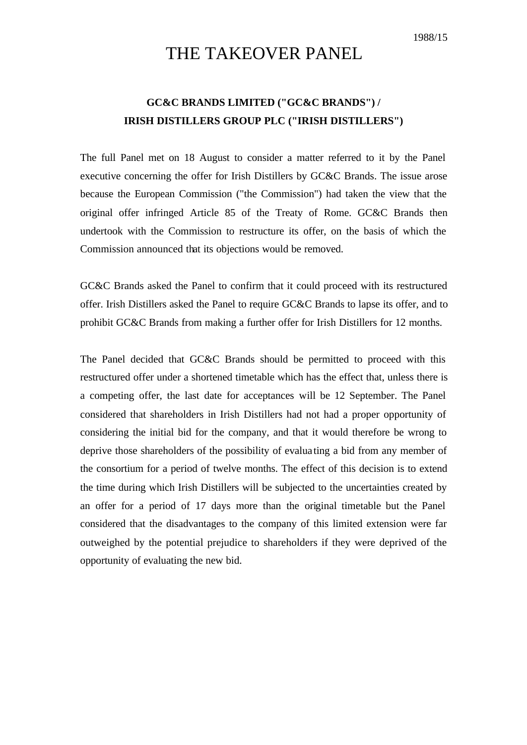1988/15

# THE TAKEOVER PANEL

# **GC&C BRANDS LIMITED ("GC&C BRANDS") / IRISH DISTILLERS GROUP PLC ("IRISH DISTILLERS")**

The full Panel met on 18 August to consider a matter referred to it by the Panel executive concerning the offer for Irish Distillers by GC&C Brands. The issue arose because the European Commission ("the Commission") had taken the view that the original offer infringed Article 85 of the Treaty of Rome. GC&C Brands then undertook with the Commission to restructure its offer, on the basis of which the Commission announced that its objections would be removed.

GC&C Brands asked the Panel to confirm that it could proceed with its restructured offer. Irish Distillers asked the Panel to require GC&C Brands to lapse its offer, and to prohibit GC&C Brands from making a further offer for Irish Distillers for 12 months.

The Panel decided that GC&C Brands should be permitted to proceed with this restructured offer under a shortened timetable which has the effect that, unless there is a competing offer, the last date for acceptances will be 12 September. The Panel considered that shareholders in Irish Distillers had not had a proper opportunity of considering the initial bid for the company, and that it would therefore be wrong to deprive those shareholders of the possibility of evalua ting a bid from any member of the consortium for a period of twelve months. The effect of this decision is to extend the time during which Irish Distillers will be subjected to the uncertainties created by an offer for a period of 17 days more than the original timetable but the Panel considered that the disadvantages to the company of this limited extension were far outweighed by the potential prejudice to shareholders if they were deprived of the opportunity of evaluating the new bid.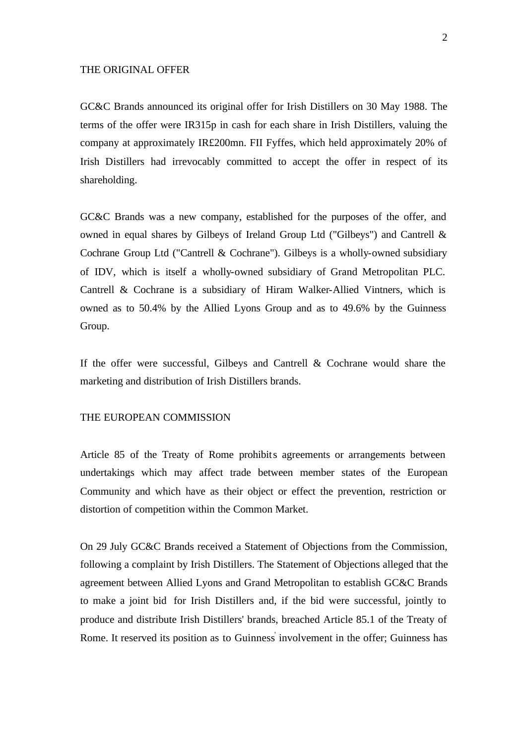### THE ORIGINAL OFFER

GC&C Brands announced its original offer for Irish Distillers on 30 May 1988. The terms of the offer were IR315p in cash for each share in Irish Distillers, valuing the company at approximately IR£200mn. FII Fyffes, which held approximately 20% of Irish Distillers had irrevocably committed to accept the offer in respect of its shareholding.

GC&C Brands was a new company, established for the purposes of the offer, and owned in equal shares by Gilbeys of Ireland Group Ltd ("Gilbeys") and Cantrell & Cochrane Group Ltd ("Cantrell & Cochrane"). Gilbeys is a wholly-owned subsidiary of IDV, which is itself a wholly-owned subsidiary of Grand Metropolitan PLC. Cantrell & Cochrane is a subsidiary of Hiram Walker-Allied Vintners, which is owned as to 50.4% by the Allied Lyons Group and as to 49.6% by the Guinness Group.

If the offer were successful, Gilbeys and Cantrell & Cochrane would share the marketing and distribution of Irish Distillers brands.

#### THE EUROPEAN COMMISSION

Article 85 of the Treaty of Rome prohibits agreements or arrangements between undertakings which may affect trade between member states of the European Community and which have as their object or effect the prevention, restriction or distortion of competition within the Common Market.

On 29 July GC&C Brands received a Statement of Objections from the Commission, following a complaint by Irish Distillers. The Statement of Objections alleged that the agreement between Allied Lyons and Grand Metropolitan to establish GC&C Brands to make a joint bid for Irish Distillers and, if the bid were successful, jointly to produce and distribute Irish Distillers' brands, breached Article 85.1 of the Treaty of Rome. It reserved its position as to Guinness' involvement in the offer; Guinness has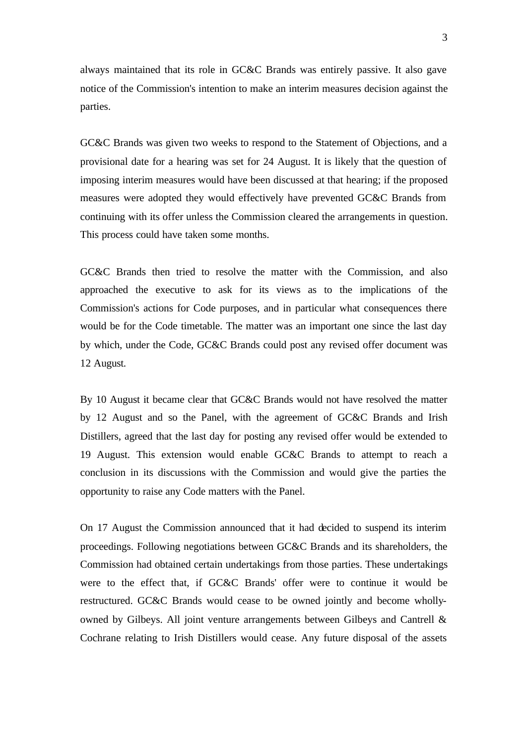always maintained that its role in GC&C Brands was entirely passive. It also gave notice of the Commission's intention to make an interim measures decision against the parties.

GC&C Brands was given two weeks to respond to the Statement of Objections, and a provisional date for a hearing was set for 24 August. It is likely that the question of imposing interim measures would have been discussed at that hearing; if the proposed measures were adopted they would effectively have prevented GC&C Brands from continuing with its offer unless the Commission cleared the arrangements in question. This process could have taken some months.

GC&C Brands then tried to resolve the matter with the Commission, and also approached the executive to ask for its views as to the implications of the Commission's actions for Code purposes, and in particular what consequences there would be for the Code timetable. The matter was an important one since the last day by which, under the Code, GC&C Brands could post any revised offer document was 12 August.

By 10 August it became clear that GC&C Brands would not have resolved the matter by 12 August and so the Panel, with the agreement of GC&C Brands and Irish Distillers, agreed that the last day for posting any revised offer would be extended to 19 August. This extension would enable GC&C Brands to attempt to reach a conclusion in its discussions with the Commission and would give the parties the opportunity to raise any Code matters with the Panel.

On 17 August the Commission announced that it had decided to suspend its interim proceedings. Following negotiations between GC&C Brands and its shareholders, the Commission had obtained certain undertakings from those parties. These undertakings were to the effect that, if GC&C Brands' offer were to continue it would be restructured. GC&C Brands would cease to be owned jointly and become whollyowned by Gilbeys. All joint venture arrangements between Gilbeys and Cantrell & Cochrane relating to Irish Distillers would cease. Any future disposal of the assets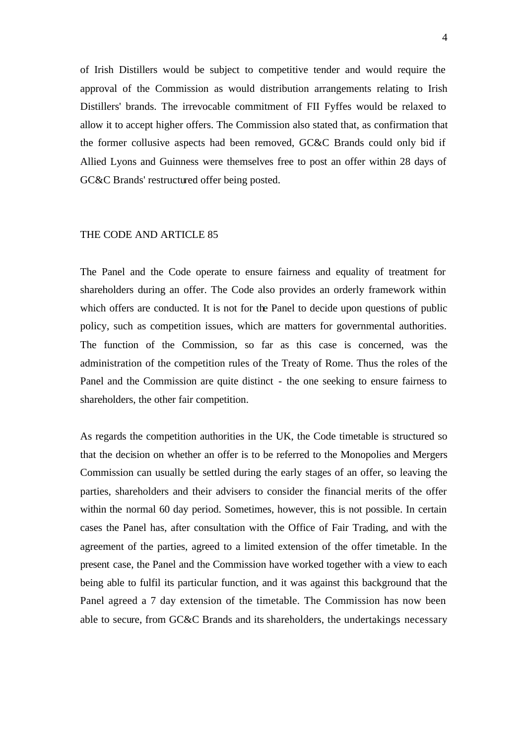of Irish Distillers would be subject to competitive tender and would require the approval of the Commission as would distribution arrangements relating to Irish Distillers' brands. The irrevocable commitment of FII Fyffes would be relaxed to allow it to accept higher offers. The Commission also stated that, as confirmation that the former collusive aspects had been removed, GC&C Brands could only bid if Allied Lyons and Guinness were themselves free to post an offer within 28 days of GC&C Brands' restructured offer being posted.

# THE CODE AND ARTICLE 85

The Panel and the Code operate to ensure fairness and equality of treatment for shareholders during an offer. The Code also provides an orderly framework within which offers are conducted. It is not for the Panel to decide upon questions of public policy, such as competition issues, which are matters for governmental authorities. The function of the Commission, so far as this case is concerned, was the administration of the competition rules of the Treaty of Rome. Thus the roles of the Panel and the Commission are quite distinct - the one seeking to ensure fairness to shareholders, the other fair competition.

As regards the competition authorities in the UK, the Code timetable is structured so that the decision on whether an offer is to be referred to the Monopolies and Mergers Commission can usually be settled during the early stages of an offer, so leaving the parties, shareholders and their advisers to consider the financial merits of the offer within the normal 60 day period. Sometimes, however, this is not possible. In certain cases the Panel has, after consultation with the Office of Fair Trading, and with the agreement of the parties, agreed to a limited extension of the offer timetable. In the present case, the Panel and the Commission have worked together with a view to each being able to fulfil its particular function, and it was against this background that the Panel agreed a 7 day extension of the timetable. The Commission has now been able to secure, from GC&C Brands and its shareholders, the undertakings necessary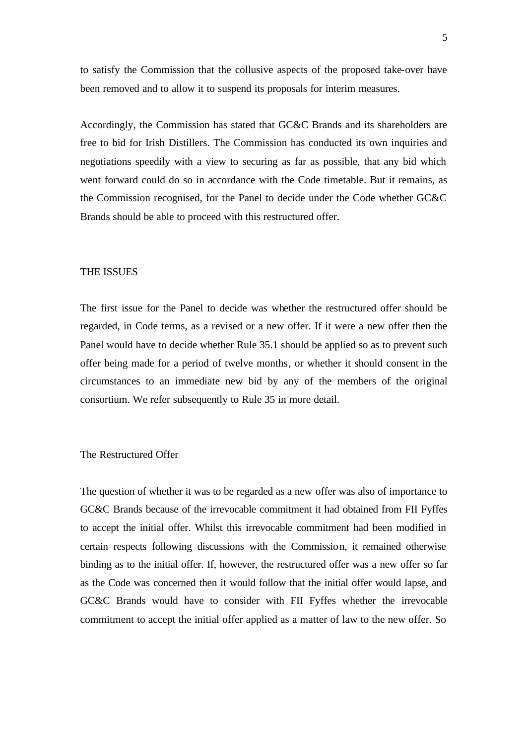to satisfy the Commission that the collusive aspects of the proposed take-over have been removed and to allow it to suspend its proposals for interim measures.

Accordingly, the Commission has stated that GC&C Brands and its shareholders are free to bid for Irish Distillers. The Commission has conducted its own inquiries and negotiations speedily with a view to securing as far as possible, that any bid which went forward could do so in accordance with the Code timetable. But it remains, as the Commission recognised, for the Panel to decide under the Code whether GC&C Brands should be able to proceed with this restructured offer.

#### THE ISSUES

The first issue for the Panel to decide was whether the restructured offer should be regarded, in Code terms, as a revised or a new offer. If it were a new offer then the Panel would have to decide whether Rule 35.1 should be applied so as to prevent such offer being made for a period of twelve months, or whether it should consent in the circumstances to an immediate new bid by any of the members of the original consortium. We refer subsequently to Rule 35 in more detail.

# The Restructured Offer

The question of whether it was to be regarded as a new offer was also of importance to GC&C Brands because of the irrevocable commitment it had obtained from FII Fyffes to accept the initial offer. Whilst this irrevocable commitment had been modified in certain respects following discussions with the Commission, it remained otherwise binding as to the initial offer. If, however, the restructured offer was a new offer so far as the Code was concerned then it would follow that the initial offer would lapse, and GC&C Brands would have to consider with FII Fyffes whether the irrevocable commitment to accept the initial offer applied as a matter of law to the new offer. So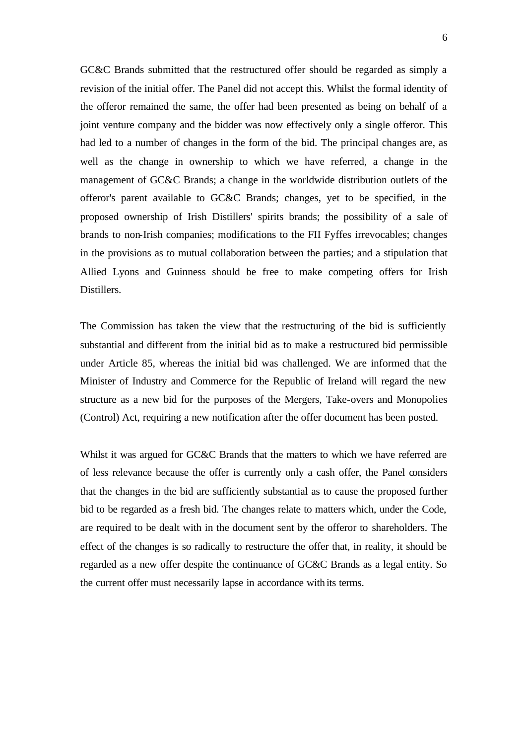GC&C Brands submitted that the restructured offer should be regarded as simply a revision of the initial offer. The Panel did not accept this. Whilst the formal identity of the offeror remained the same, the offer had been presented as being on behalf of a joint venture company and the bidder was now effectively only a single offeror. This had led to a number of changes in the form of the bid. The principal changes are, as well as the change in ownership to which we have referred, a change in the management of GC&C Brands; a change in the worldwide distribution outlets of the offeror's parent available to GC&C Brands; changes, yet to be specified, in the proposed ownership of Irish Distillers' spirits brands; the possibility of a sale of brands to non-Irish companies; modifications to the FII Fyffes irrevocables; changes in the provisions as to mutual collaboration between the parties; and a stipulation that Allied Lyons and Guinness should be free to make competing offers for Irish Distillers.

The Commission has taken the view that the restructuring of the bid is sufficiently substantial and different from the initial bid as to make a restructured bid permissible under Article 85, whereas the initial bid was challenged. We are informed that the Minister of Industry and Commerce for the Republic of Ireland will regard the new structure as a new bid for the purposes of the Mergers, Take-overs and Monopolies (Control) Act, requiring a new notification after the offer document has been posted.

Whilst it was argued for GC&C Brands that the matters to which we have referred are of less relevance because the offer is currently only a cash offer, the Panel considers that the changes in the bid are sufficiently substantial as to cause the proposed further bid to be regarded as a fresh bid. The changes relate to matters which, under the Code, are required to be dealt with in the document sent by the offeror to shareholders. The effect of the changes is so radically to restructure the offer that, in reality, it should be regarded as a new offer despite the continuance of GC&C Brands as a legal entity. So the current offer must necessarily lapse in accordance with its terms.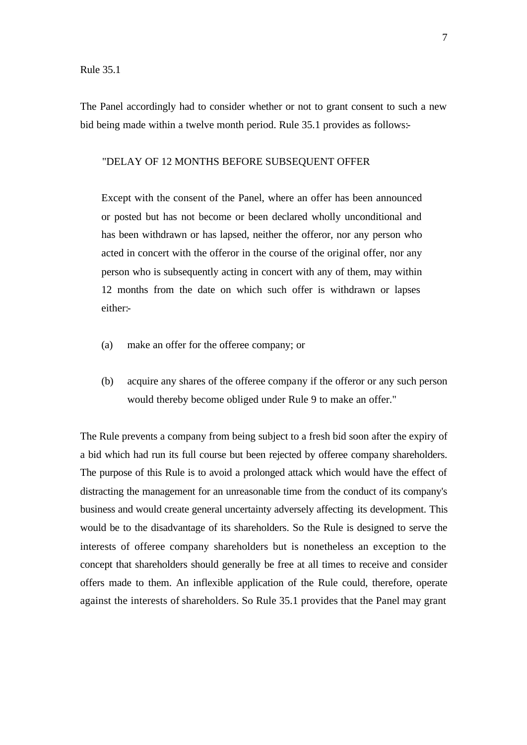The Panel accordingly had to consider whether or not to grant consent to such a new bid being made within a twelve month period. Rule 35.1 provides as follows:-

### "DELAY OF 12 MONTHS BEFORE SUBSEQUENT OFFER

Except with the consent of the Panel, where an offer has been announced or posted but has not become or been declared wholly unconditional and has been withdrawn or has lapsed, neither the offeror, nor any person who acted in concert with the offeror in the course of the original offer, nor any person who is subsequently acting in concert with any of them, may within 12 months from the date on which such offer is withdrawn or lapses either:-

- (a) make an offer for the offeree company; or
- (b) acquire any shares of the offeree company if the offeror or any such person would thereby become obliged under Rule 9 to make an offer."

The Rule prevents a company from being subject to a fresh bid soon after the expiry of a bid which had run its full course but been rejected by offeree company shareholders. The purpose of this Rule is to avoid a prolonged attack which would have the effect of distracting the management for an unreasonable time from the conduct of its company's business and would create general uncertainty adversely affecting its development. This would be to the disadvantage of its shareholders. So the Rule is designed to serve the interests of offeree company shareholders but is nonetheless an exception to the concept that shareholders should generally be free at all times to receive and consider offers made to them. An inflexible application of the Rule could, therefore, operate against the interests of shareholders. So Rule 35.1 provides that the Panel may grant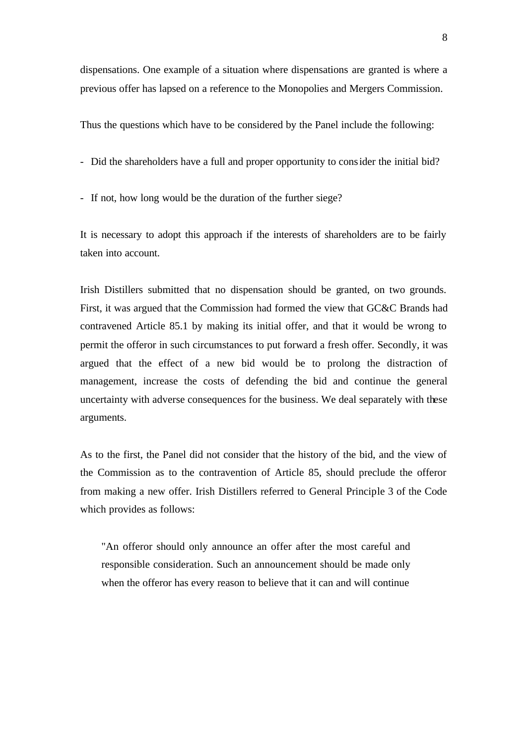dispensations. One example of a situation where dispensations are granted is where a previous offer has lapsed on a reference to the Monopolies and Mergers Commission.

Thus the questions which have to be considered by the Panel include the following:

- Did the shareholders have a full and proper opportunity to consider the initial bid?
- If not, how long would be the duration of the further siege?

It is necessary to adopt this approach if the interests of shareholders are to be fairly taken into account.

Irish Distillers submitted that no dispensation should be granted, on two grounds. First, it was argued that the Commission had formed the view that GC&C Brands had contravened Article 85.1 by making its initial offer, and that it would be wrong to permit the offeror in such circumstances to put forward a fresh offer. Secondly, it was argued that the effect of a new bid would be to prolong the distraction of management, increase the costs of defending the bid and continue the general uncertainty with adverse consequences for the business. We deal separately with these arguments.

As to the first, the Panel did not consider that the history of the bid, and the view of the Commission as to the contravention of Article 85, should preclude the offeror from making a new offer. Irish Distillers referred to General Principle 3 of the Code which provides as follows:

"An offeror should only announce an offer after the most careful and responsible consideration. Such an announcement should be made only when the offeror has every reason to believe that it can and will continue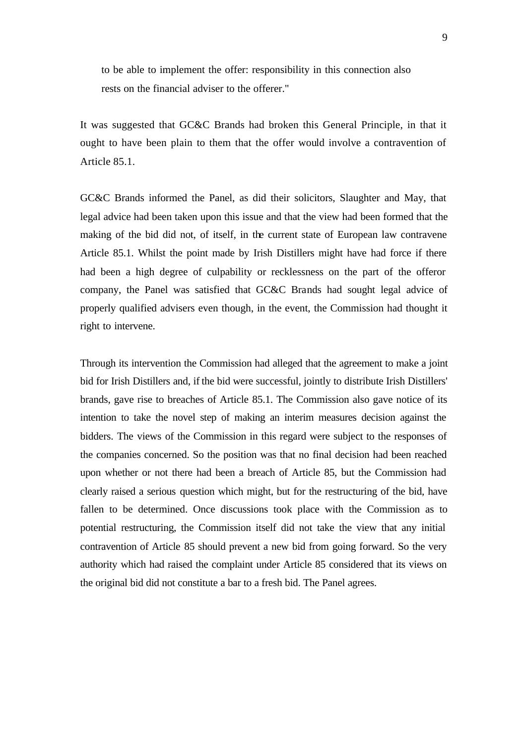to be able to implement the offer: responsibility in this connection also rests on the financial adviser to the offerer."

It was suggested that GC&C Brands had broken this General Principle, in that it ought to have been plain to them that the offer would involve a contravention of Article 85.1.

GC&C Brands informed the Panel, as did their solicitors, Slaughter and May, that legal advice had been taken upon this issue and that the view had been formed that the making of the bid did not, of itself, in the current state of European law contravene Article 85.1. Whilst the point made by Irish Distillers might have had force if there had been a high degree of culpability or recklessness on the part of the offeror company, the Panel was satisfied that GC&C Brands had sought legal advice of properly qualified advisers even though, in the event, the Commission had thought it right to intervene.

Through its intervention the Commission had alleged that the agreement to make a joint bid for Irish Distillers and, if the bid were successful, jointly to distribute Irish Distillers' brands, gave rise to breaches of Article 85.1. The Commission also gave notice of its intention to take the novel step of making an interim measures decision against the bidders. The views of the Commission in this regard were subject to the responses of the companies concerned. So the position was that no final decision had been reached upon whether or not there had been a breach of Article 85, but the Commission had clearly raised a serious question which might, but for the restructuring of the bid, have fallen to be determined. Once discussions took place with the Commission as to potential restructuring, the Commission itself did not take the view that any initial contravention of Article 85 should prevent a new bid from going forward. So the very authority which had raised the complaint under Article 85 considered that its views on the original bid did not constitute a bar to a fresh bid. The Panel agrees.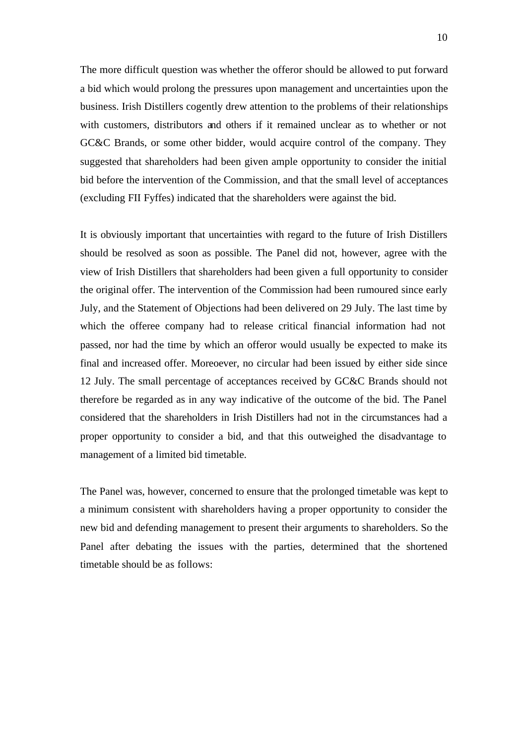The more difficult question was whether the offeror should be allowed to put forward a bid which would prolong the pressures upon management and uncertainties upon the business. Irish Distillers cogently drew attention to the problems of their relationships with customers, distributors and others if it remained unclear as to whether or not GC&C Brands, or some other bidder, would acquire control of the company. They suggested that shareholders had been given ample opportunity to consider the initial bid before the intervention of the Commission, and that the small level of acceptances (excluding FII Fyffes) indicated that the shareholders were against the bid.

It is obviously important that uncertainties with regard to the future of Irish Distillers should be resolved as soon as possible. The Panel did not, however, agree with the view of Irish Distillers that shareholders had been given a full opportunity to consider the original offer. The intervention of the Commission had been rumoured since early July, and the Statement of Objections had been delivered on 29 July. The last time by which the offeree company had to release critical financial information had not passed, nor had the time by which an offeror would usually be expected to make its final and increased offer. Moreoever, no circular had been issued by either side since 12 July. The small percentage of acceptances received by GC&C Brands should not therefore be regarded as in any way indicative of the outcome of the bid. The Panel considered that the shareholders in Irish Distillers had not in the circumstances had a proper opportunity to consider a bid, and that this outweighed the disadvantage to management of a limited bid timetable.

The Panel was, however, concerned to ensure that the prolonged timetable was kept to a minimum consistent with shareholders having a proper opportunity to consider the new bid and defending management to present their arguments to shareholders. So the Panel after debating the issues with the parties, determined that the shortened timetable should be as follows: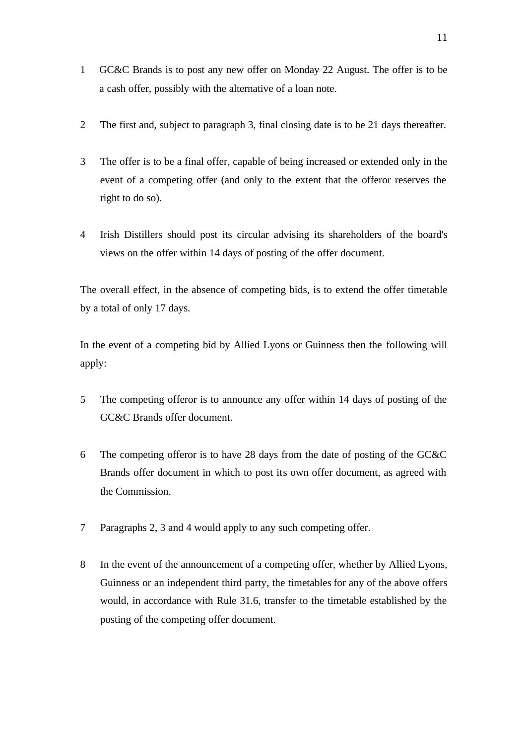- 1 GC&C Brands is to post any new offer on Monday 22 August. The offer is to be a cash offer, possibly with the alternative of a loan note.
- 2 The first and, subject to paragraph 3, final closing date is to be 21 days thereafter.
- 3 The offer is to be a final offer, capable of being increased or extended only in the event of a competing offer (and only to the extent that the offeror reserves the right to do so).
- 4 Irish Distillers should post its circular advising its shareholders of the board's views on the offer within 14 days of posting of the offer document.

The overall effect, in the absence of competing bids, is to extend the offer timetable by a total of only 17 days.

In the event of a competing bid by Allied Lyons or Guinness then the following will apply:

- 5 The competing offeror is to announce any offer within 14 days of posting of the GC&C Brands offer document.
- 6 The competing offeror is to have 28 days from the date of posting of the GC&C Brands offer document in which to post its own offer document, as agreed with the Commission.
- 7 Paragraphs 2, 3 and 4 would apply to any such competing offer.
- 8 In the event of the announcement of a competing offer, whether by Allied Lyons, Guinness or an independent third party, the timetables for any of the above offers would, in accordance with Rule 31.6, transfer to the timetable established by the posting of the competing offer document.